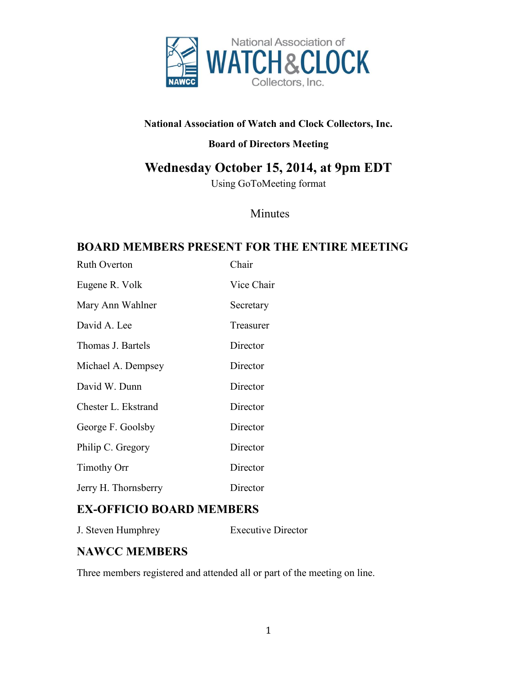

#### **National Association of Watch and Clock Collectors, Inc.**

#### **Board of Directors Meeting**

# **Wednesday October 15, 2014, at 9pm EDT**

Using GoToMeeting format

### Minutes

## **BOARD MEMBERS PRESENT FOR THE ENTIRE MEETING**

| <b>Ruth Overton</b>  | Chair      |
|----------------------|------------|
| Eugene R. Volk       | Vice Chair |
| Mary Ann Wahlner     | Secretary  |
| David A. Lee         | Treasurer  |
| Thomas J. Bartels    | Director   |
| Michael A. Dempsey   | Director   |
| David W. Dunn        | Director   |
| Chester L. Ekstrand  | Director   |
| George F. Goolsby    | Director   |
| Philip C. Gregory    | Director   |
| <b>Timothy Orr</b>   | Director   |
| Jerry H. Thornsberry | Director   |

## **EX-OFFICIO BOARD MEMBERS**

J. Steven Humphrey Executive Director

### **NAWCC MEMBERS**

Three members registered and attended all or part of the meeting on line.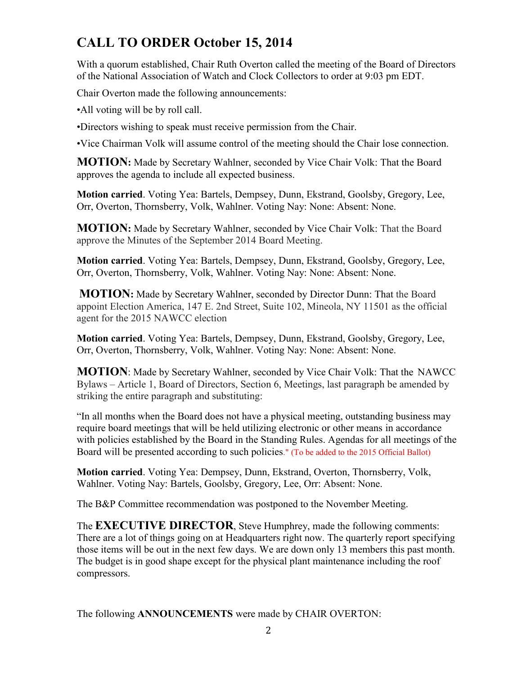# **CALL TO ORDER October 15, 2014**

With a quorum established, Chair Ruth Overton called the meeting of the Board of Directors of the National Association of Watch and Clock Collectors to order at 9:03 pm EDT.

Chair Overton made the following announcements:

•All voting will be by roll call.

•Directors wishing to speak must receive permission from the Chair.

•Vice Chairman Volk will assume control of the meeting should the Chair lose connection.

**MOTION:** Made by Secretary Wahlner, seconded by Vice Chair Volk: That the Board approves the agenda to include all expected business.

**Motion carried**. Voting Yea: Bartels, Dempsey, Dunn, Ekstrand, Goolsby, Gregory, Lee, Orr, Overton, Thornsberry, Volk, Wahlner. Voting Nay: None: Absent: None.

**MOTION:** Made by Secretary Wahlner, seconded by Vice Chair Volk: That the Board approve the Minutes of the September 2014 Board Meeting.

**Motion carried**. Voting Yea: Bartels, Dempsey, Dunn, Ekstrand, Goolsby, Gregory, Lee, Orr, Overton, Thornsberry, Volk, Wahlner. Voting Nay: None: Absent: None.

**MOTION:** Made by Secretary Wahlner, seconded by Director Dunn: That the Board appoint Election America, 147 E. 2nd Street, Suite 102, Mineola, NY 11501 as the official agent for the 2015 NAWCC election

**Motion carried**. Voting Yea: Bartels, Dempsey, Dunn, Ekstrand, Goolsby, Gregory, Lee, Orr, Overton, Thornsberry, Volk, Wahlner. Voting Nay: None: Absent: None.

**MOTION**: Made by Secretary Wahlner, seconded by Vice Chair Volk: That the NAWCC Bylaws – Article 1, Board of Directors, Section 6, Meetings, last paragraph be amended by striking the entire paragraph and substituting:

"In all months when the Board does not have a physical meeting, outstanding business may require board meetings that will be held utilizing electronic or other means in accordance with policies established by the Board in the Standing Rules. Agendas for all meetings of the Board will be presented according to such policies." (To be added to the 2015 Official Ballot)

**Motion carried**. Voting Yea: Dempsey, Dunn, Ekstrand, Overton, Thornsberry, Volk, Wahlner. Voting Nay: Bartels, Goolsby, Gregory, Lee, Orr: Absent: None.

The B&P Committee recommendation was postponed to the November Meeting.

The **EXECUTIVE DIRECTOR**, Steve Humphrey, made the following comments: There are a lot of things going on at Headquarters right now. The quarterly report specifying those items will be out in the next few days. We are down only 13 members this past month. The budget is in good shape except for the physical plant maintenance including the roof compressors.

The following **ANNOUNCEMENTS** were made by CHAIR OVERTON: